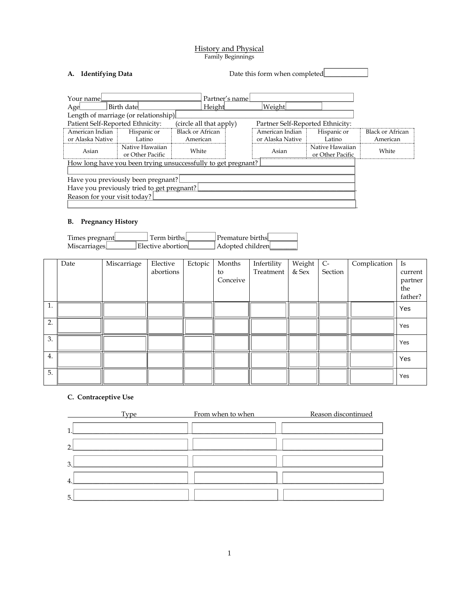#### History and Physical Family Beginnings

| <b>Identifying Data</b>                                                                                                                                                           | Date this form when completed                                           |                                                                                  |                                                              |                                       |
|-----------------------------------------------------------------------------------------------------------------------------------------------------------------------------------|-------------------------------------------------------------------------|----------------------------------------------------------------------------------|--------------------------------------------------------------|---------------------------------------|
| Your name<br>Birth date<br>Age<br>Length of marriage (or relationship)                                                                                                            | Partner's name<br>Height                                                | Weight                                                                           |                                                              |                                       |
| Patient Self-Reported Ethnicity:<br>American Indian<br>Hispanic or<br>or Alaska Native  <br>Latino<br>Native Hawaiian<br>Asian<br>or Other Pacific                                | (circle all that apply)<br><b>Black or African</b><br>American<br>White | Partner Self-Reported Ethnicity:<br>American Indian<br>or Alaska Native<br>Asian | Hispanic or<br>Latino<br>Native Hawaiian<br>or Other Pacific | Black or African<br>American<br>White |
| How long have you been trying unsuccessfully to get pregnant?<br>Have you previously been pregnant?<br>Have you previously tried to get pregnant?<br>Reason for your visit today? |                                                                         |                                                                                  |                                                              |                                       |

#### **B. Pregnancy History**

| Times pregnant | Term births       | Premature births |  |
|----------------|-------------------|------------------|--|
| Miscarriages   | Elective abortion | Adopted children |  |

|    | Date | Miscarriage | Elective  | Ectopic | Months   | Infertility | Weight  | $C-$    | Complication | Is      |
|----|------|-------------|-----------|---------|----------|-------------|---------|---------|--------------|---------|
|    |      |             | abortions |         | to       | Treatment   | $&$ Sex | Section |              | current |
|    |      |             |           |         | Conceive |             |         |         |              | partner |
|    |      |             |           |         |          |             |         |         |              | the     |
|    |      |             |           |         |          |             |         |         |              | father? |
| 1. |      |             |           |         |          |             |         |         |              | Yes     |
|    |      |             |           |         |          |             |         |         |              |         |
| 2. |      |             |           |         |          |             |         |         |              | Yes     |
|    |      |             |           |         |          |             |         |         |              |         |
| 3. |      |             |           |         |          |             |         |         |              | Yes     |
|    |      |             |           |         |          |             |         |         |              |         |
| 4. |      |             |           |         |          |             |         |         |              | Yes     |
|    |      |             |           |         |          |             |         |         |              |         |
|    |      |             |           |         |          |             |         |         |              | Yes     |
| 5. |      |             |           |         |          |             |         |         |              |         |

### **C. Contraceptive Use**

|                | Type | From when to when | Reason discontinued |
|----------------|------|-------------------|---------------------|
|                |      |                   |                     |
| $\overline{2}$ |      |                   |                     |
| 3.             |      |                   |                     |
| 4              |      |                   |                     |
| 5              |      |                   |                     |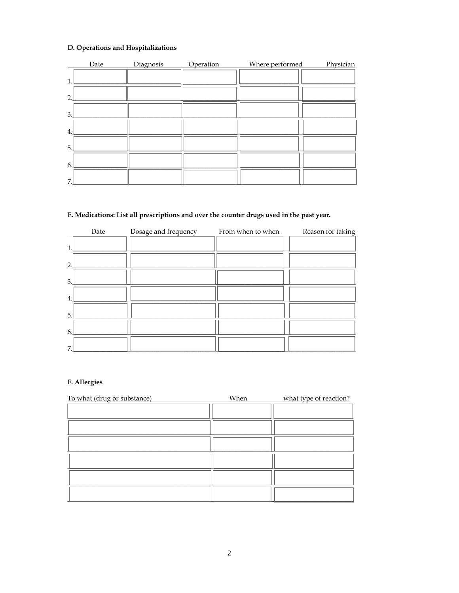# D. Operations and Hospitalizations

|                | Date | Diagnosis | Operation | Where performed | Physician |
|----------------|------|-----------|-----------|-----------------|-----------|
| 1              |      |           |           |                 |           |
| $\overline{2}$ |      |           |           |                 |           |
| 3.             |      |           |           |                 |           |
| 4.             |      |           |           |                 |           |
| 5.             |      |           |           |                 |           |
| 6.             |      |           |           |                 |           |
| 7              |      |           |           |                 |           |

## E. Medications: List all prescriptions and over the counter drugs used in the past year.

|                | Date | Dosage and frequency | From when to when | Reason for taking |
|----------------|------|----------------------|-------------------|-------------------|
| 1              |      |                      |                   |                   |
| $\overline{2}$ |      |                      |                   |                   |
| 3              |      |                      |                   |                   |
| 4.             |      |                      |                   |                   |
| 5.             |      |                      |                   |                   |
| 6              |      |                      |                   |                   |
| 7              |      |                      |                   |                   |

# F. Allergies

| To what (drug or substance) | When | what type of reaction? |
|-----------------------------|------|------------------------|
|                             |      |                        |
|                             |      |                        |
|                             |      |                        |
|                             |      |                        |
|                             |      |                        |
|                             |      |                        |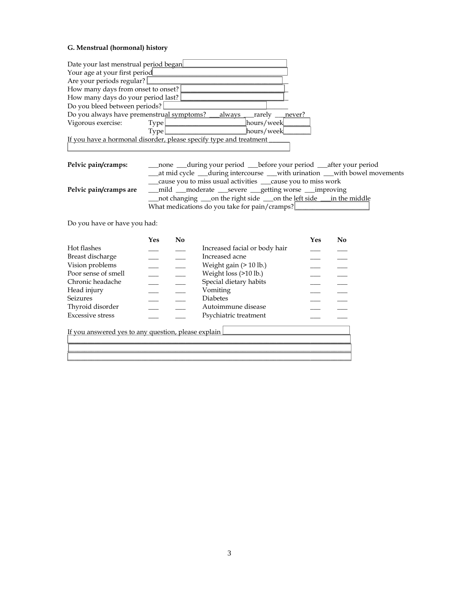### **G. Menstrual (hormonal) history**

| Date your last menstrual period began                                                                                                                                                                                          |                               |                                                                                                                                                                                                            |                                                                       |                            |  |
|--------------------------------------------------------------------------------------------------------------------------------------------------------------------------------------------------------------------------------|-------------------------------|------------------------------------------------------------------------------------------------------------------------------------------------------------------------------------------------------------|-----------------------------------------------------------------------|----------------------------|--|
| Your age at your first period                                                                                                                                                                                                  |                               |                                                                                                                                                                                                            |                                                                       |                            |  |
| Are your periods regular?                                                                                                                                                                                                      |                               |                                                                                                                                                                                                            |                                                                       |                            |  |
| How many days from onset to onset?                                                                                                                                                                                             |                               |                                                                                                                                                                                                            |                                                                       |                            |  |
| How many days do your period last?                                                                                                                                                                                             |                               |                                                                                                                                                                                                            |                                                                       |                            |  |
| Do you bleed between periods?                                                                                                                                                                                                  |                               |                                                                                                                                                                                                            |                                                                       |                            |  |
| Do you always have premenstrual symptoms?                                                                                                                                                                                      |                               | always<br>$\lfloor$ rarely $\rfloor$<br>never?                                                                                                                                                             |                                                                       |                            |  |
| Vigorous exercise:                                                                                                                                                                                                             | Type                          | [hours/week                                                                                                                                                                                                |                                                                       |                            |  |
|                                                                                                                                                                                                                                | Type                          | hours/week                                                                                                                                                                                                 |                                                                       |                            |  |
|                                                                                                                                                                                                                                |                               | If you have a hormonal disorder, please specify type and treatment                                                                                                                                         |                                                                       |                            |  |
|                                                                                                                                                                                                                                |                               |                                                                                                                                                                                                            |                                                                       |                            |  |
| Pelvic pain/cramps:                                                                                                                                                                                                            | none  <br>at mid cycle $\Box$ | $\Box$ during your period $\Box$ before your period $\Box$ after your period<br>during intercourse<br>cause you to miss usual activities $\perp$                                                           | $\lfloor$ with urination $\rfloor$<br>cause you t <u>o m</u> iss work | with bowel movements       |  |
| Pelvic pain/cramps are                                                                                                                                                                                                         | mild  <br>not changing J      | <u> gett</u> ing worse L<br>$\Box$ on the right side $\Box$ on the left side<br>What medications do you take for pain/cramps?                                                                              |                                                                       | improving<br>in the middle |  |
| Do you have or have you had:                                                                                                                                                                                                   |                               |                                                                                                                                                                                                            |                                                                       |                            |  |
| Hot flashes<br>Breast discharge<br>Vision problems<br>Poor sense of smell<br>Chronic headache<br>Head injury<br>Seizures<br>Thyroid disorder<br><b>Excessive stress</b><br>If you answered yes to any question, please explain | Yes<br>No                     | Increased facial or body hair<br>Increased acne<br>Weight gain (> 10 lb.)<br>Weight loss (>10 lb.)<br>Special dietary habits<br>Vomiting<br><b>Diabetes</b><br>Autoimmune disease<br>Psychiatric treatment | Yes                                                                   | No                         |  |
|                                                                                                                                                                                                                                |                               |                                                                                                                                                                                                            |                                                                       |                            |  |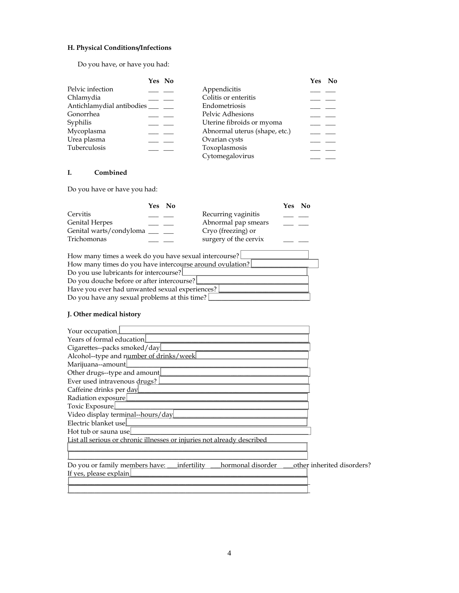# **H. Physical Conditions/Infections**

Do you have, or have you had:

| Pelvic infection<br>Chlamydia<br>Antichlamydial antibodies<br>Gonorrhea<br>Syphilis<br>Mycoplasma<br>Urea plasma<br>Tuberculosis                                                                                                                                                                                                                                     | Yes No<br>Appendicitis<br>Colitis or enteritis<br>Endometriosis<br>Pelvic Adhesions<br>Uterine fibroids or myoma<br>Abnormal uterus (shape, etc.)<br>Ovarian cysts<br>Toxoplasmosis<br>Cytomegalovirus | <u>Yes</u><br>$\Delta$ <sub>0</sub> |
|----------------------------------------------------------------------------------------------------------------------------------------------------------------------------------------------------------------------------------------------------------------------------------------------------------------------------------------------------------------------|--------------------------------------------------------------------------------------------------------------------------------------------------------------------------------------------------------|-------------------------------------|
| I.<br>Combined                                                                                                                                                                                                                                                                                                                                                       |                                                                                                                                                                                                        |                                     |
| Do you have or have you had:                                                                                                                                                                                                                                                                                                                                         |                                                                                                                                                                                                        |                                     |
| Yes<br>Cervitis<br><b>Genital Herpes</b><br>Genital warts/condyloma<br>Trichomonas                                                                                                                                                                                                                                                                                   | No<br>Recurring vaginitis<br>Abnormal pap smears<br>Cryo (freezing) or<br>surgery of the cervix                                                                                                        | <u>No</u><br><u>Yes</u>             |
| How many times a week do you have sexual intercourse?<br>Do you use lubricants for intercourse?<br>Do you douche before or after intercourse?<br>Have you ever had unwanted sexual experiences?<br>Do you have any sexual problems at this time?<br>J. Other medical history                                                                                         | How many times do you have intercourse around ovulation?                                                                                                                                               |                                     |
| Your occupation<br>Years of formal education<br>Cigarettes--packs smoked/day<br>Alcohol--type and number of drinks/week<br>Marijuana--amount<br>Other drugs--type and amount<br>Ever used intravenous drugs?<br>Caffeine drinks per day<br>Radiation exposure<br>Toxic Exposure<br>Video display terminal--hours/day<br>Electric blanket use<br>Hot tub or sauna use | List all serious or chronic illnesses or injuries not already described                                                                                                                                |                                     |
| Do you or family members have:<br>If yes, please explain                                                                                                                                                                                                                                                                                                             | hormonal disorder<br>infertility                                                                                                                                                                       | other inherited disorders?          |

\_\_\_\_\_\_\_\_\_\_\_\_\_\_\_\_\_\_\_\_\_\_\_\_\_\_\_\_\_\_\_\_\_\_\_\_\_\_\_\_\_\_\_\_\_\_\_\_\_\_\_\_\_\_\_\_\_\_\_\_\_\_\_\_\_\_\_\_\_\_\_\_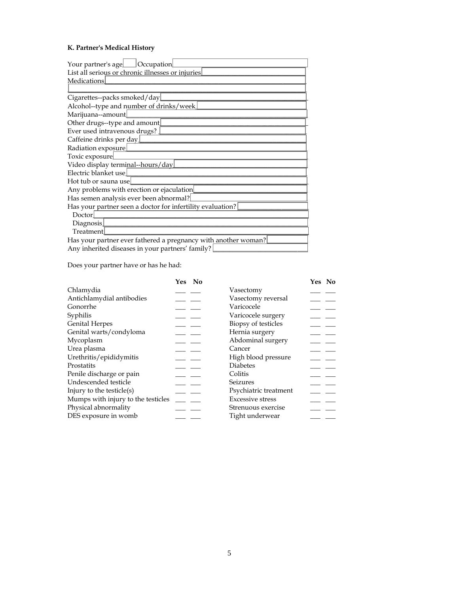# **K. Partner's Medical History**

| Your partner's age<br><b>Occupation</b>                        |
|----------------------------------------------------------------|
| List all serious or chronic illnesses or injuries              |
| Medications                                                    |
|                                                                |
| Cigarettes--packs smoked/day                                   |
| Alcohol--type and number of drinks/week                        |
| Marijuana--amount                                              |
| Other drugs--type and amount                                   |
| Ever used intravenous drugs?                                   |
| Caffeine drinks per day                                        |
| Radiation exposure                                             |
| Toxic exposure                                                 |
| Video display terminal--hours/day                              |
| Electric blanket use                                           |
| Hot tub or sauna use                                           |
| Any problems with erection or ejaculation                      |
| Has semen analysis ever been abnormal?                         |
| Has your partner seen a doctor for infertility evaluation?     |
| Doctor                                                         |
| Diagnosis                                                      |
| <b>Treatment</b>                                               |
| Has your partner ever fathered a pregnancy with another woman? |

Any inherited diseases in your partners' family? **\_\_\_\_\_\_\_\_\_\_\_\_\_\_\_\_\_\_\_\_\_\_\_\_\_\_**\_\_\_\_

Does your partner have or has he had:

|                                    | No<br>Yes |                         | Yes No |
|------------------------------------|-----------|-------------------------|--------|
| Chlamydia                          |           | Vasectomy               |        |
| Antichlamydial antibodies          |           | Vasectomy reversal      |        |
| Gonorrhe                           |           | Varicocele              |        |
| Syphilis                           |           | Varicocele surgery      |        |
| <b>Genital Herpes</b>              |           | Biopsy of testicles     |        |
| Genital warts/condyloma            |           | Hernia surgery          |        |
| Mycoplasm                          |           | Abdominal surgery       |        |
| Urea plasma                        |           | Cancer                  |        |
| Urethritis/epididymitis            |           | High blood pressure     |        |
| Prostatits                         |           | <b>Diabetes</b>         |        |
| Penile discharge or pain           |           | Colitis                 |        |
| Undescended testicle               |           | Seizures                |        |
| Injury to the testicle(s)          |           | Psychiatric treatment   |        |
| Mumps with injury to the testicles |           | <b>Excessive stress</b> |        |
| Physical abnormality               |           | Strenuous exercise      |        |
| DES exposure in womb               |           | Tight underwear         |        |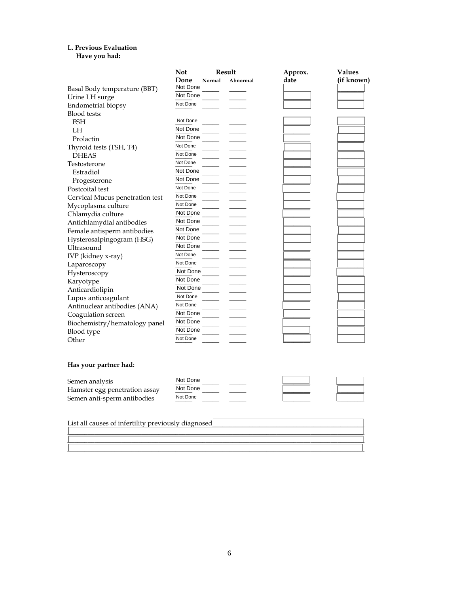## **L. Previous Evaluation**

### **Have you had:**

|                                                     | <b>Not</b>     | Result   | Approx. | Values     |
|-----------------------------------------------------|----------------|----------|---------|------------|
|                                                     | Done<br>Normal | Abnormal | date    | (if known) |
| Basal Body temperature (BBT)                        | Not Done       |          |         |            |
| Urine LH surge                                      | Not Done       |          |         |            |
| Endometrial biopsy                                  | Not Done       |          |         |            |
| Blood tests:                                        |                |          |         |            |
| <b>FSH</b>                                          | Not Done       |          |         |            |
| LH                                                  | Not Done       |          |         |            |
| Prolactin                                           | Not Done       |          |         |            |
| Thyroid tests (TSH, T4)                             | Not Done       |          |         |            |
| <b>DHEAS</b>                                        | Not Done       |          |         |            |
| Testosterone                                        | Not Done       |          |         |            |
| Estradiol                                           | Not Done       |          |         |            |
| Progesterone                                        | Not Done       |          |         |            |
| Postcoital test                                     | Not Done       |          |         |            |
| Cervical Mucus penetration test                     | Not Done       |          |         |            |
| Mycoplasma culture                                  | Not Done       |          |         |            |
| Chlamydia culture                                   | Not Done       |          |         |            |
| Antichlamydial antibodies                           | Not Done       |          |         |            |
| Female antisperm antibodies                         | Not Done       |          |         |            |
| Hysterosalpingogram (HSG)                           | Not Done       |          |         |            |
| Ultrasound                                          | Not Done       |          |         |            |
| IVP (kidney x-ray)                                  | Not Done       |          |         |            |
| Laparoscopy                                         | Not Done       |          |         |            |
|                                                     | Not Done       |          |         |            |
| Hysteroscopy                                        | Not Done       |          |         |            |
| Karyotype                                           | Not Done       |          |         |            |
| Anticardiolipin                                     | Not Done       |          |         |            |
| Lupus anticoagulant                                 | Not Done       |          |         |            |
| Antinuclear antibodies (ANA)                        | Not Done       |          |         |            |
| Coagulation screen                                  | Not Done       |          |         |            |
| Biochemistry/hematology panel                       | Not Done       |          |         |            |
| Blood type                                          |                |          |         |            |
| Other                                               | Not Done       |          |         |            |
| Has your partner had:                               |                |          |         |            |
| Semen analysis                                      | Not Done       |          |         |            |
| Hamster egg penetration assay                       | Not Done       |          |         |            |
| Semen anti-sperm antibodies                         | Not Done       |          |         |            |
| List all causes of infertility previously diagnosed |                |          |         |            |

\_\_\_\_\_\_\_\_\_\_\_\_\_\_\_\_\_\_\_\_\_\_\_\_\_\_\_\_\_\_\_\_\_\_\_\_\_\_\_\_\_\_\_\_\_\_\_\_\_\_\_\_\_\_\_\_\_\_\_\_\_\_\_\_\_\_\_\_\_\_\_\_\_\_\_\_\_\_\_\_\_\_\_\_\_\_\_\_

\_\_\_\_\_\_\_\_\_\_\_\_\_\_\_\_\_\_\_\_\_\_\_\_\_\_\_\_\_\_\_\_\_\_\_\_\_\_\_\_\_\_\_\_\_\_\_\_\_\_\_\_\_\_\_\_\_\_\_\_\_\_\_\_\_\_\_\_\_\_\_\_\_\_\_\_\_\_\_\_\_\_\_\_\_\_\_\_ \_\_\_\_\_\_\_\_\_\_\_\_\_\_\_\_\_\_\_\_\_\_\_\_\_\_\_\_\_\_\_\_\_\_\_\_\_\_\_\_\_\_\_\_\_\_\_\_\_\_\_\_\_\_\_\_\_\_\_\_\_\_\_\_\_\_\_\_\_\_\_\_\_\_\_\_\_\_\_\_\_\_\_\_\_\_\_\_